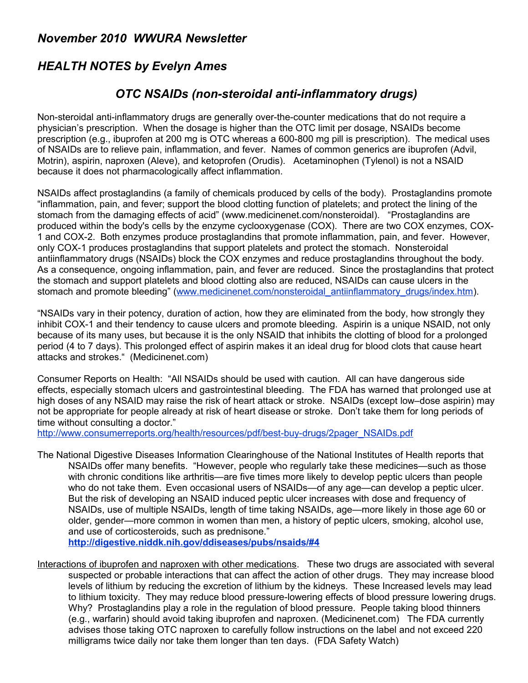## *November 2010 WWURA Newsletter*

## *HEALTH NOTES by Evelyn Ames*

## *OTC NSAIDs (non-steroidal anti-inflammatory drugs)*

Non-steroidal anti-inflammatory drugs are generally over-the-counter medications that do not require a physician's prescription. When the dosage is higher than the OTC limit per dosage, NSAIDs become prescription (e.g., ibuprofen at 200 mg is OTC whereas a 600-800 mg pill is prescription). The medical uses of NSAIDs are to relieve pain, inflammation, and fever. Names of common generics are ibuprofen (Advil, Motrin), aspirin, naproxen (Aleve), and ketoprofen (Orudis). Acetaminophen (Tylenol) is not a NSAID because it does not pharmacologically affect inflammation.

NSAIDs affect prostaglandins (a family of chemicals produced by cells of the body). Prostaglandins promote "inflammation, pain, and fever; support the blood clotting function of platelets; and protect the lining of the stomach from the damaging effects of acid" (www.medicinenet.com/nonsteroidal). "Prostaglandins are produced within the body's cells by the enzyme cyclooxygenase (COX). There are two COX enzymes, COX-1 and COX-2. Both enzymes produce prostaglandins that promote inflammation, pain, and fever. However, only COX-1 produces prostaglandins that support platelets and protect the stomach. Nonsteroidal antiinflammatory drugs (NSAIDs) block the COX enzymes and reduce prostaglandins throughout the body. As a consequence, ongoing inflammation, pain, and fever are reduced. Since the prostaglandins that protect the stomach and support platelets and blood clotting also are reduced, NSAIDs can cause ulcers in the stomach and promote bleeding" [\(www.medicinenet.com/nonsteroidal\\_antiinflammatory\\_drugs/index.htm\)](http://www.medicinenet.com/nonsteroidal_antiinflammatory_drugs/index.htm).

"NSAIDs vary in their potency, duration of action, how they are eliminated from the body, how strongly they inhibit COX-1 and their tendency to cause ulcers and promote bleeding. Aspirin is a unique NSAID, not only because of its many uses, but because it is the only NSAID that inhibits the clotting of blood for a prolonged period (4 to 7 days). This prolonged effect of aspirin makes it an ideal drug for blood clots that cause heart attacks and strokes." (Medicinenet.com)

Consumer Reports on Health: "All NSAIDs should be used with caution. All can have dangerous side effects, especially stomach ulcers and gastrointestinal bleeding. The FDA has warned that prolonged use at high doses of any NSAID may raise the risk of heart attack or stroke. NSAIDs (except low–dose aspirin) may not be appropriate for people already at risk of heart disease or stroke. Don't take them for long periods of time without consulting a doctor."

[http://www.consumerreports.org/health/resources/pdf/best-buy-drugs/2pager\\_NSAIDs.pdf](http://www.consumerreports.org/health/resources/pdf/best-buy-drugs/2pager_NSAIDs.pdf)

The National Digestive Diseases Information Clearinghouse of the National Institutes of Health reports that NSAIDs offer many benefits. "However, people who regularly take these medicines—such as those with chronic conditions like arthritis—are five times more likely to develop peptic ulcers than people who do not take them. Even occasional users of NSAIDs—of any age—can develop a peptic ulcer. But the risk of developing an NSAID induced peptic ulcer increases with dose and frequency of NSAIDs, use of multiple NSAIDs, length of time taking NSAIDs, age—more likely in those age 60 or older, gender—more common in women than men, a history of peptic ulcers, smoking, alcohol use, and use of corticosteroids, such as prednisone."

**<http://digestive.niddk.nih.gov/ddiseases/pubs/nsaids/#4>**

Interactions of ibuprofen and naproxen with other medications. These two drugs are associated with several suspected or probable interactions that can affect the action of other drugs. They may increase blood levels of lithium by reducing the excretion of lithium by the kidneys. These Increased levels may lead to lithium toxicity. They may reduce blood pressure-lowering effects of blood pressure lowering drugs. Why? Prostaglandins play a role in the regulation of blood pressure. People taking blood thinners (e.g., warfarin) should avoid taking ibuprofen and naproxen. (Medicinenet.com) The FDA currently advises those taking OTC naproxen to carefully follow instructions on the label and not exceed 220 milligrams twice daily nor take them longer than ten days. (FDA Safety Watch)